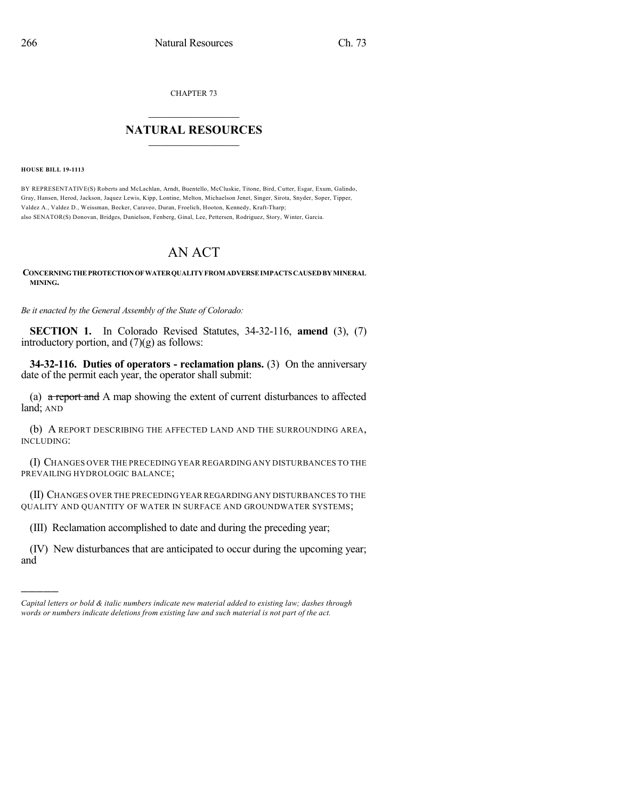CHAPTER 73

## $\mathcal{L}_\text{max}$  . The set of the set of the set of the set of the set of the set of the set of the set of the set of the set of the set of the set of the set of the set of the set of the set of the set of the set of the set **NATURAL RESOURCES**  $\frac{1}{\sqrt{2}}$  ,  $\frac{1}{\sqrt{2}}$  ,  $\frac{1}{\sqrt{2}}$  ,  $\frac{1}{\sqrt{2}}$  ,  $\frac{1}{\sqrt{2}}$  ,  $\frac{1}{\sqrt{2}}$

**HOUSE BILL 19-1113**

)))))

BY REPRESENTATIVE(S) Roberts and McLachlan, Arndt, Buentello, McCluskie, Titone, Bird, Cutter, Esgar, Exum, Galindo, Gray, Hansen, Herod, Jackson, Jaquez Lewis, Kipp, Lontine, Melton, Michaelson Jenet, Singer, Sirota, Snyder, Soper, Tipper, Valdez A., Valdez D., Weissman, Becker, Caraveo, Duran, Froelich, Hooton, Kennedy, Kraft-Tharp; also SENATOR(S) Donovan, Bridges, Danielson, Fenberg, Ginal, Lee, Pettersen, Rodriguez, Story, Winter, Garcia.

## AN ACT

**CONCERNINGTHEPROTECTIONOFWATERQUALITYFROM ADVERSEIMPACTS CAUSEDBYMINERAL MINING.**

*Be it enacted by the General Assembly of the State of Colorado:*

**SECTION 1.** In Colorado Revised Statutes, 34-32-116, **amend** (3), (7) introductory portion, and  $(7)(g)$  as follows:

**34-32-116. Duties of operators - reclamation plans.** (3) On the anniversary date of the permit each year, the operator shall submit:

(a)  $\alpha$  report and A map showing the extent of current disturbances to affected land; AND

(b) A REPORT DESCRIBING THE AFFECTED LAND AND THE SURROUNDING AREA, INCLUDING:

(I) CHANGES OVER THE PRECEDING YEAR REGARDING ANY DISTURBANCES TO THE PREVAILING HYDROLOGIC BALANCE;

(II) CHANGES OVER THE PRECEDINGYEAR REGARDINGANY DISTURBANCES TO THE QUALITY AND QUANTITY OF WATER IN SURFACE AND GROUNDWATER SYSTEMS;

(III) Reclamation accomplished to date and during the preceding year;

(IV) New disturbances that are anticipated to occur during the upcoming year; and

*Capital letters or bold & italic numbers indicate new material added to existing law; dashes through words or numbers indicate deletions from existing law and such material is not part of the act.*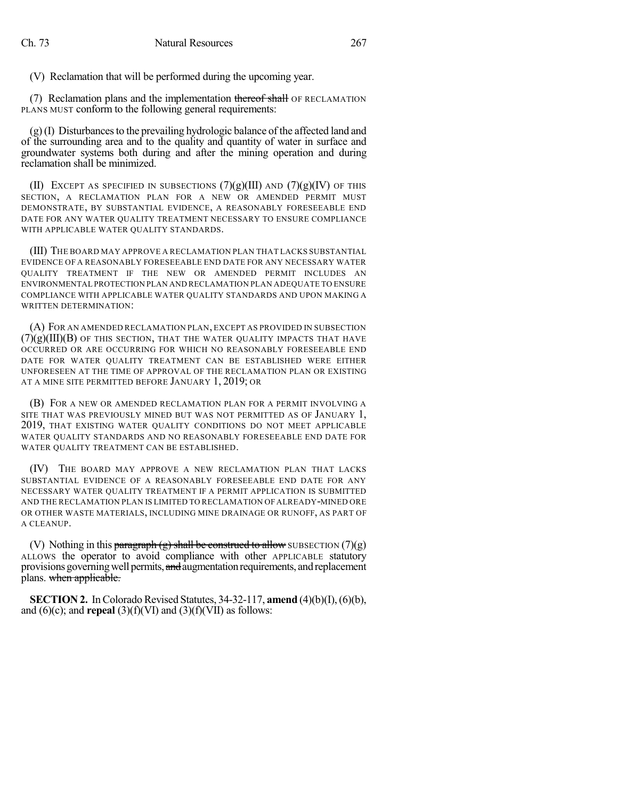(V) Reclamation that will be performed during the upcoming year.

(7) Reclamation plans and the implementation thereof shall OF RECLAMATION PLANS MUST conform to the following general requirements:

 $(g)$ (I) Disturbances to the prevailing hydrologic balance of the affected land and of the surrounding area and to the quality and quantity of water in surface and groundwater systems both during and after the mining operation and during reclamation shall be minimized.

(II) EXCEPT AS SPECIFIED IN SUBSECTIONS  $(7)(g)(III)$  AND  $(7)(g)(IV)$  OF THIS SECTION, A RECLAMATION PLAN FOR A NEW OR AMENDED PERMIT MUST DEMONSTRATE, BY SUBSTANTIAL EVIDENCE, A REASONABLY FORESEEABLE END DATE FOR ANY WATER QUALITY TREATMENT NECESSARY TO ENSURE COMPLIANCE WITH APPLICABLE WATER OUALITY STANDARDS.

(III) THE BOARD MAY APPROVE A RECLAMATION PLAN THAT LACKS SUBSTANTIAL EVIDENCE OF A REASONABLY FORESEEABLE END DATE FOR ANY NECESSARY WATER QUALITY TREATMENT IF THE NEW OR AMENDED PERMIT INCLUDES AN ENVIRONMENTAL PROTECTION PLAN AND RECLAMATION PLAN ADEQUATE TO ENSURE COMPLIANCE WITH APPLICABLE WATER QUALITY STANDARDS AND UPON MAKING A WRITTEN DETERMINATION:

(A) FOR AN AMENDED RECLAMATION PLAN, EXCEPT AS PROVIDED IN SUBSECTION  $(7)(g)(III)(B)$  OF THIS SECTION, THAT THE WATER QUALITY IMPACTS THAT HAVE OCCURRED OR ARE OCCURRING FOR WHICH NO REASONABLY FORESEEABLE END DATE FOR WATER QUALITY TREATMENT CAN BE ESTABLISHED WERE EITHER UNFORESEEN AT THE TIME OF APPROVAL OF THE RECLAMATION PLAN OR EXISTING AT A MINE SITE PERMITTED BEFORE JANUARY 1, 2019; OR

(B) FOR A NEW OR AMENDED RECLAMATION PLAN FOR A PERMIT INVOLVING A SITE THAT WAS PREVIOUSLY MINED BUT WAS NOT PERMITTED AS OF JANUARY 1, 2019, THAT EXISTING WATER QUALITY CONDITIONS DO NOT MEET APPLICABLE WATER QUALITY STANDARDS AND NO REASONABLY FORESEEABLE END DATE FOR WATER QUALITY TREATMENT CAN BE ESTABLISHED.

(IV) THE BOARD MAY APPROVE A NEW RECLAMATION PLAN THAT LACKS SUBSTANTIAL EVIDENCE OF A REASONABLY FORESEEABLE END DATE FOR ANY NECESSARY WATER QUALITY TREATMENT IF A PERMIT APPLICATION IS SUBMITTED AND THE RECLAMATION PLAN IS LIMITED TO RECLAMATION OF ALREADY-MINED ORE OR OTHER WASTE MATERIALS, INCLUDING MINE DRAINAGE OR RUNOFF, AS PART OF A CLEANUP.

(V) Nothing in this paragraph (g) shall be construed to allow SUBSECTION (7)(g) ALLOWS the operator to avoid compliance with other APPLICABLE statutory provisions governing well permits, and augmentation requirements, and replacement plans. when applicable.

**SECTION 2.** In Colorado Revised Statutes, 34-32-117, **amend** (4)(b)(I), (6)(b), and  $(6)(c)$ ; and **repeal**  $(3)(f)(VI)$  and  $(3)(f)(VII)$  as follows: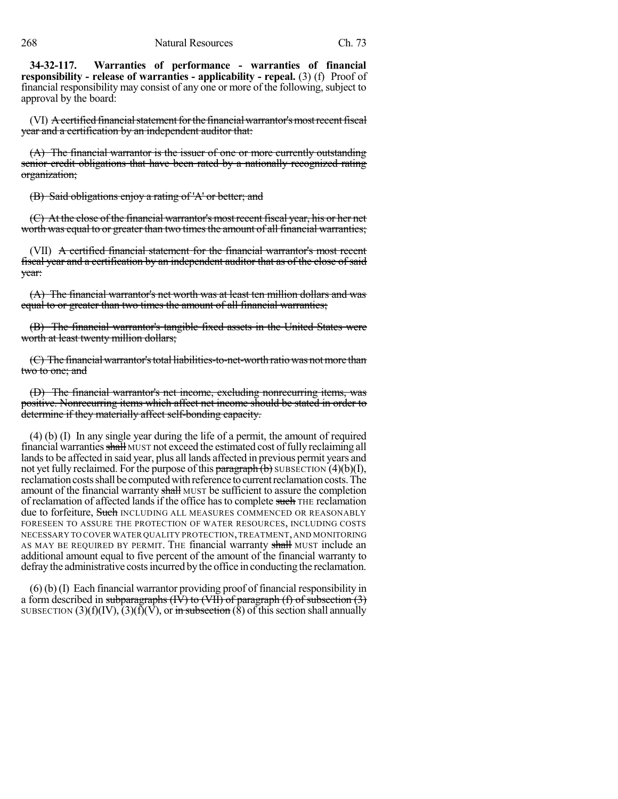**34-32-117. Warranties of performance - warranties of financial responsibility - release of warranties - applicability - repeal.** (3) (f) Proof of financial responsibility may consist of any one or more of the following, subject to approval by the board:

(VI)  $\overline{A}$  certified financial statement for the financial warrantor's most recent fiscal year and a certification by an independent auditor that:

(A) The financial warrantor is the issuer of one or more currently outstanding senior credit obligations that have been rated by a nationally recognized rating organization;

(B) Said obligations enjoy a rating of 'A' or better; and

(C) At the close of the financial warrantor's mostrecent fiscal year, his or her net worth was equal to or greater than two times the amount of all financial warranties;

(VII) A certified financial statement for the financial warrantor's most recent fiscal year and a certification by an independent auditor that as of the close of said year:

(A) The financial warrantor's net worth was at least ten million dollars and was equal to or greater than two times the amount of all financial warranties;

(B) The financial warrantor's tangible fixed assets in the United States were worth at least twenty million dollars;

(C) The financial warrantor's total liabilities-to-net-worth ratio was not more than two to one; and

(D) The financial warrantor's net income, excluding nonrecurring items, was positive. Nonrecurring items which affect net income should be stated in order to determine if they materially affect self-bonding capacity.

(4) (b) (I) In any single year during the life of a permit, the amount of required financial warranties shall MUST not exceed the estimated cost of fully reclaiming all lands to be affected in said year, plus all lands affected in previous permit years and not yet fully reclaimed. For the purpose of this  $\frac{\text{parameter of}}{\text{mean}}$  SUBSECTION (4)(b)(I), reclamation costs shall be computed with reference to current reclamation costs. The amount of the financial warranty shall MUST be sufficient to assure the completion of reclamation of affected lands if the office has to complete such THE reclamation due to forfeiture, Such INCLUDING ALL MEASURES COMMENCED OR REASONABLY FORESEEN TO ASSURE THE PROTECTION OF WATER RESOURCES, INCLUDING COSTS NECESSARY TO COVER WATER QUALITY PROTECTION,TREATMENT,AND MONITORING AS MAY BE REQUIRED BY PERMIT. THE financial warranty shall MUST include an additional amount equal to five percent of the amount of the financial warranty to defray the administrative costs incurred by the office in conducting the reclamation.

(6) (b) (I) Each financial warrantor providing proof of financial responsibility in a form described in subparagraphs  $(W)$  to  $(V)$  of paragraph (f) of subsection (3) SUBSECTION (3)(f)(IV),  $(3)(f)(V)$ , or in subsection (8) of this section shall annually